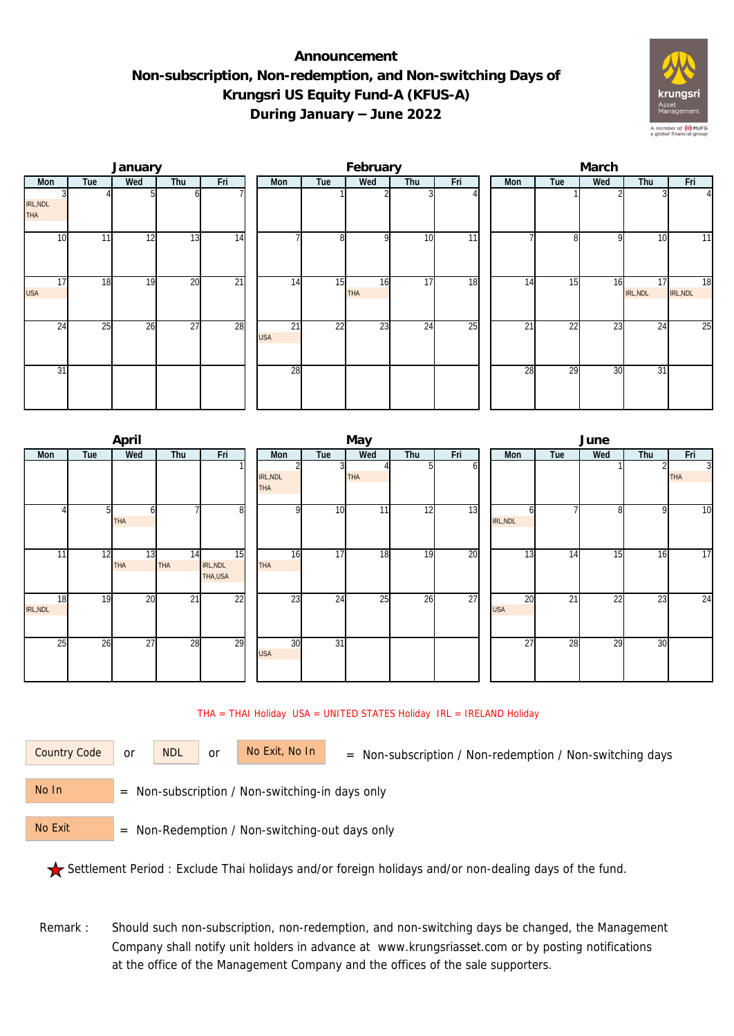## **Announcement Non-subscription, Non-redemption, and Non-switching Days of Krungsri US Equity Fund-A (KFUS-A) During January – June 2022**



|                        |                 | January |                 |     |                  |     | February         |     |     | March |                 |              |                |                |  |  |
|------------------------|-----------------|---------|-----------------|-----|------------------|-----|------------------|-----|-----|-------|-----------------|--------------|----------------|----------------|--|--|
| Mon                    | Tue             | Wed     | Thu             | Fri | Mon              | Tue | Wed              | Thu | Fri | Mon   | Tue             | Wed          | Thu            | Fri            |  |  |
| IRL, NDL<br><b>THA</b> |                 |         |                 |     |                  |     |                  |     |     |       |                 |              |                | $\overline{4}$ |  |  |
| 10 <sup>1</sup>        | 11 <sub>1</sub> | 12      | 13              | 14  |                  | 8   | $\Omega$         | 10  | 11  |       |                 | <sup>Q</sup> | 10             | 11             |  |  |
| 17<br><b>USA</b>       | 18              | 19      | 20              | 21  | 14               | 15  | 16<br><b>THA</b> | 17  | 18  | 14    | $1\overline{5}$ | 16           | 17<br>IRL, NDL | 18<br>IRL, NDL |  |  |
| 24                     | 25              | 26      | $\overline{27}$ | 28  | 21<br><b>USA</b> | 22  | 23               | 24  | 25  | 21    | 22              | 23           | 24             | 25             |  |  |
| 31                     |                 |         |                 |     | 28               |     |                  |     |     | 28    | 29              | 30           | 31             |                |  |  |

|                |     | April     |                  |                           |                        |                 | May        |     |     | June |                  |     |                 |     |                              |  |
|----------------|-----|-----------|------------------|---------------------------|------------------------|-----------------|------------|-----|-----|------|------------------|-----|-----------------|-----|------------------------------|--|
| Mon            | Tue | Wed       | Thu              | Fri                       | Mon                    | Tue             | Wed        | Thu | Fri |      | Mon              | Tue | Wed             | Thu | Fri                          |  |
|                |     |           |                  |                           | IRL, NDL<br><b>THA</b> |                 | <b>THA</b> | 5.  | ωI  |      |                  |     |                 |     | $\overline{3}$<br><b>THA</b> |  |
|                |     | ΩI<br>THA |                  | 8                         | n                      | 10 <sup>1</sup> | 11         | 12  | 13  |      | IRL, NDL         |     |                 | 9   | 10                           |  |
| 11             | 12  | 13<br>THA | 14<br><b>THA</b> | 15<br>IRL, NDL<br>THA,USA | 16<br><b>THA</b>       | 17              | 18         | 19  | 20  |      | 13               | 14  | $1\overline{5}$ | 16  | $\overline{17}$              |  |
| 18<br>IRL, NDL | 19  | 20        | 21               | 22                        | 23                     | $2\overline{4}$ | 25         | 26  | 27  |      | 20<br><b>USA</b> | 21  | $\overline{22}$ | 23  | $\overline{24}$              |  |
| 25             | 26  | 27        | 28               | 29                        | 30<br><b>USA</b>       | 31              |            |     |     |      | 27               | 28  | 29              | 30  |                              |  |

THA = THAI Holiday USA = UNITED STATES Holiday IRL = IRELAND Holiday

or NDL or

Country Code or NDL or No Exit, No In = Non-subscription / Non-redemption / Non-switching days

 = Non-subscription / Non-switching-in days only No In

 = Non-Redemption / Non-switching-out days only No Exit

Settlement Period : Exclude Thai holidays and/or foreign holidays and/or non-dealing days of the fund.

Remark : Should such non-subscription, non-redemption, and non-switching days be changed, the Management Company shall notify unit holders in advance at www.krungsriasset.com or by posting notifications at the office of the Management Company and the offices of the sale supporters.